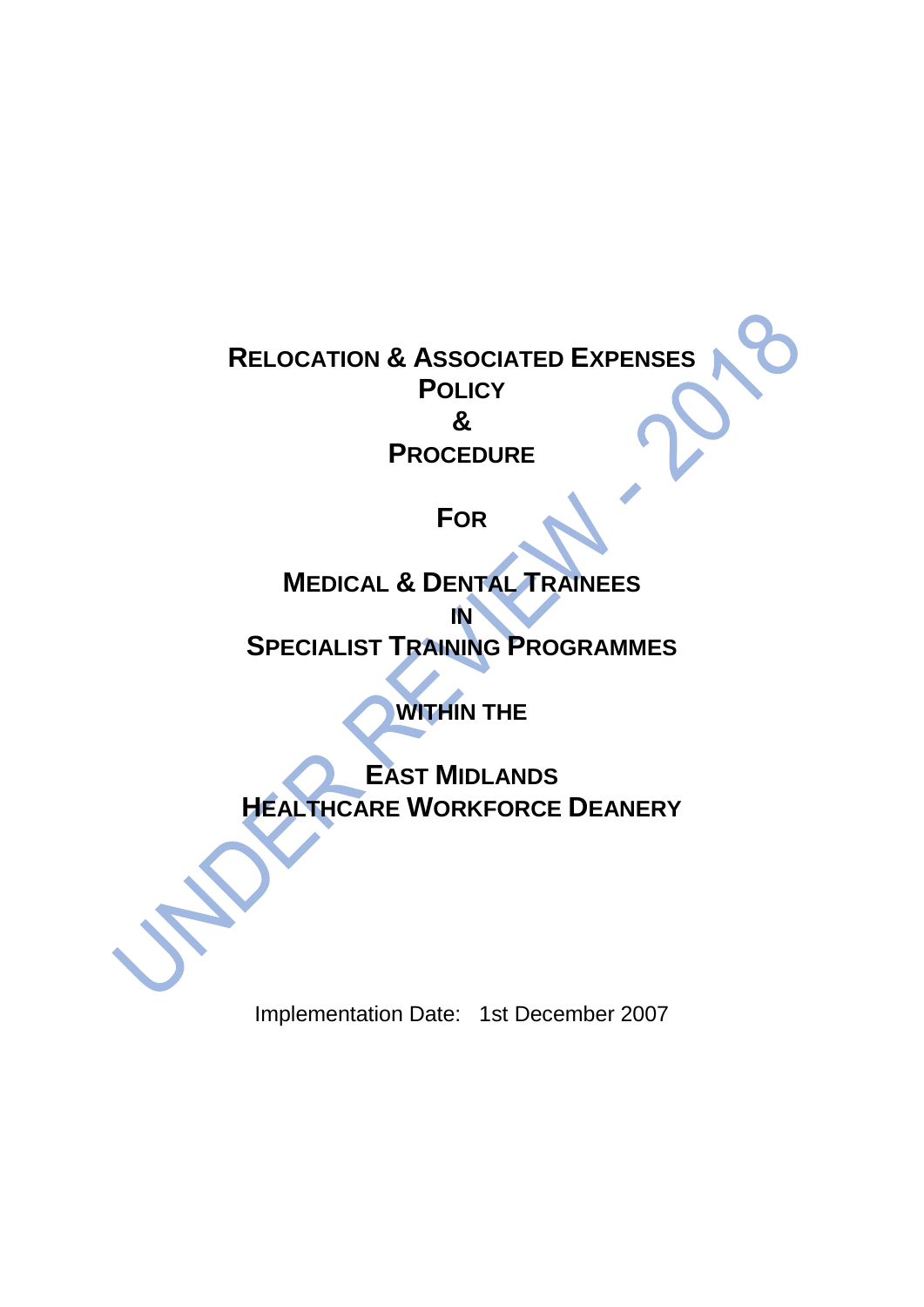# **RELOCATION & ASSOCIATED EXPENSES POLICY & PROCEDURE**

# **FOR**

# **MEDICAL & DENTAL TRAINEES**

# **IN SPECIALIST TRAINING PROGRAMMES**

# **WITHIN THE**

# **EAST MIDLANDS HEALTHCARE WORKFORCE DEANERY**

Implementation Date: 1st December 2007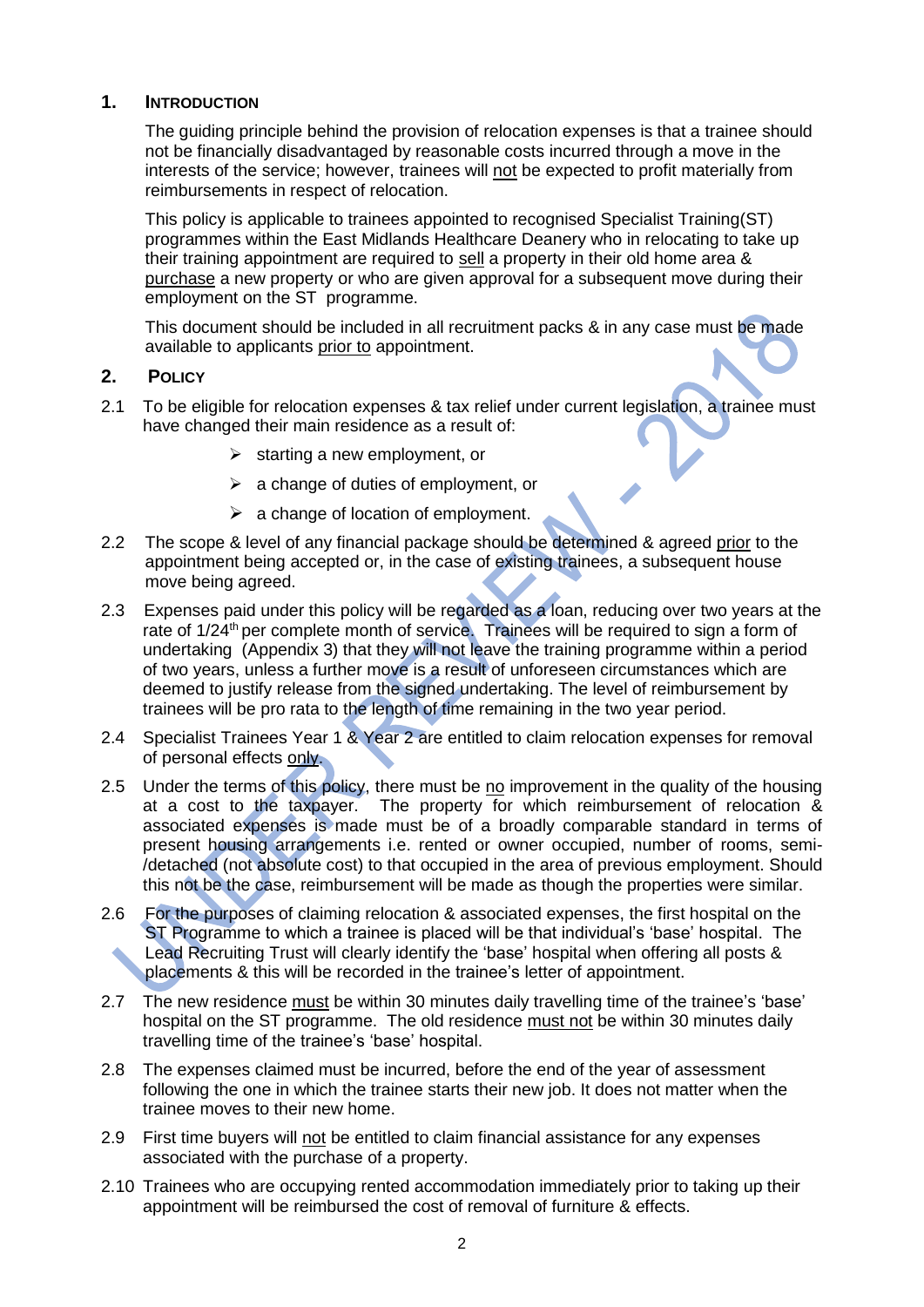#### **1. INTRODUCTION**

The guiding principle behind the provision of relocation expenses is that a trainee should not be financially disadvantaged by reasonable costs incurred through a move in the interests of the service; however, trainees will not be expected to profit materially from reimbursements in respect of relocation.

This policy is applicable to trainees appointed to recognised Specialist Training(ST) programmes within the East Midlands Healthcare Deanery who in relocating to take up their training appointment are required to sell a property in their old home area & purchase a new property or who are given approval for a subsequent move during their employment on the ST programme.

This document should be included in all recruitment packs & in any case must be made available to applicants prior to appointment.

#### **2. POLICY**

- 2.1 To be eligible for relocation expenses & tax relief under current legislation, a trainee must have changed their main residence as a result of:
	- $\triangleright$  starting a new employment, or
	- ➢ a change of duties of employment, or
	- $\triangleright$  a change of location of employment.
- 2.2 The scope & level of any financial package should be determined & agreed prior to the appointment being accepted or, in the case of existing trainees, a subsequent house move being agreed.
- 2.3 Expenses paid under this policy will be regarded as a loan, reducing over two years at the rate of 1/24<sup>th</sup> per complete month of service. Trainees will be required to sign a form of undertaking (Appendix 3) that they will not leave the training programme within a period of two years, unless a further move is a result of unforeseen circumstances which are deemed to justify release from the signed undertaking. The level of reimbursement by trainees will be pro rata to the length of time remaining in the two year period.
- 2.4 Specialist Trainees Year 1 & Year 2 are entitled to claim relocation expenses for removal of personal effects only.
- 2.5 Under the terms of this policy, there must be no improvement in the quality of the housing at a cost to the taxpayer. The property for which reimbursement of relocation & associated expenses is made must be of a broadly comparable standard in terms of present housing arrangements i.e. rented or owner occupied, number of rooms, semi- /detached (not absolute cost) to that occupied in the area of previous employment. Should this not be the case, reimbursement will be made as though the properties were similar.
- 2.6 For the purposes of claiming relocation & associated expenses, the first hospital on the ST Programme to which a trainee is placed will be that individual's 'base' hospital. The Lead Recruiting Trust will clearly identify the 'base' hospital when offering all posts & placements & this will be recorded in the trainee's letter of appointment.
- 2.7 The new residence must be within 30 minutes daily travelling time of the trainee's 'base' hospital on the ST programme. The old residence must not be within 30 minutes daily travelling time of the trainee's 'base' hospital.
- 2.8 The expenses claimed must be incurred, before the end of the year of assessment following the one in which the trainee starts their new job. It does not matter when the trainee moves to their new home.
- 2.9 First time buyers will not be entitled to claim financial assistance for any expenses associated with the purchase of a property.
- 2.10 Trainees who are occupying rented accommodation immediately prior to taking up their appointment will be reimbursed the cost of removal of furniture & effects.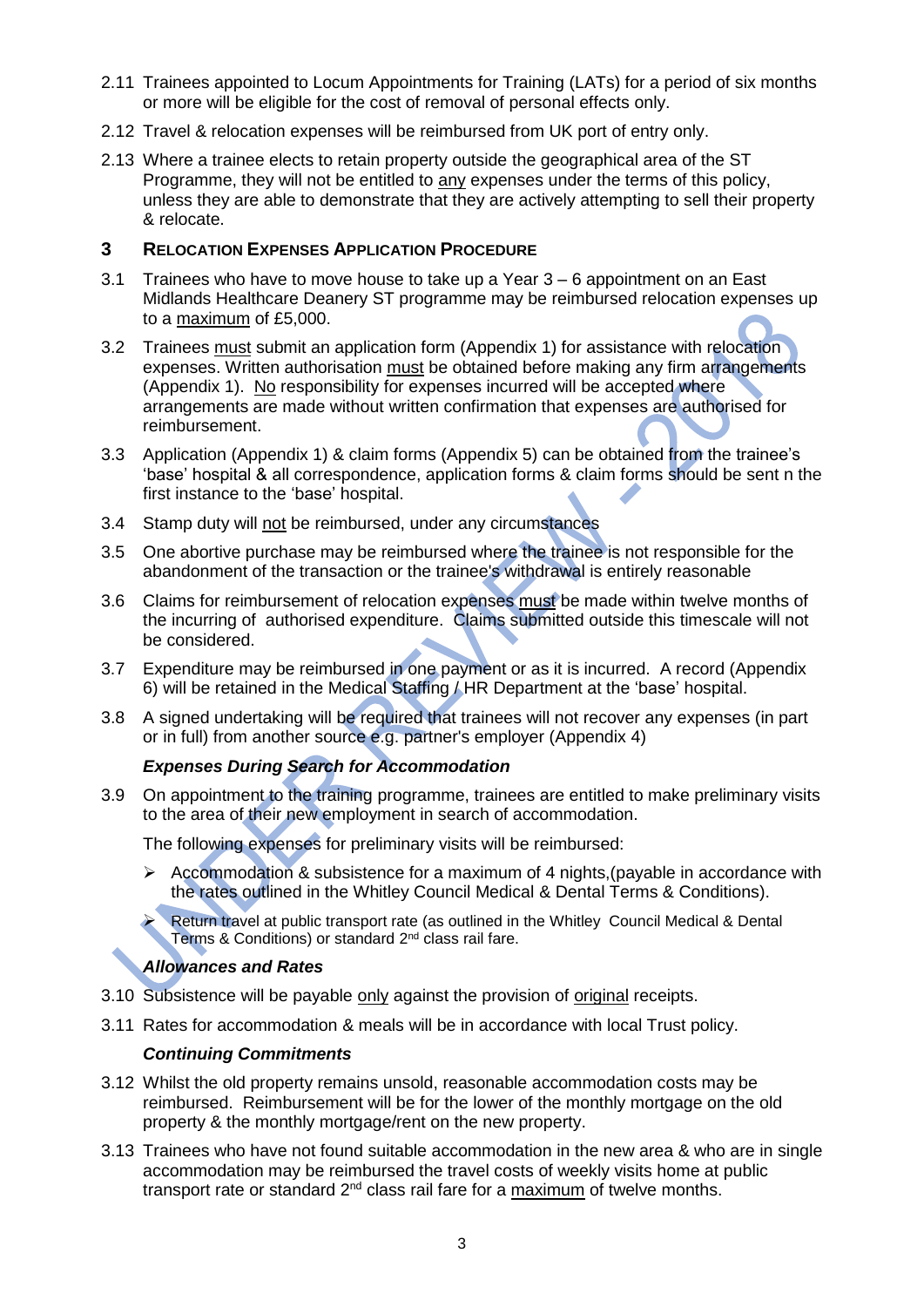- 2.11 Trainees appointed to Locum Appointments for Training (LATs) for a period of six months or more will be eligible for the cost of removal of personal effects only.
- 2.12 Travel & relocation expenses will be reimbursed from UK port of entry only.
- 2.13 Where a trainee elects to retain property outside the geographical area of the ST Programme, they will not be entitled to any expenses under the terms of this policy, unless they are able to demonstrate that they are actively attempting to sell their property & relocate.

#### **3 RELOCATION EXPENSES APPLICATION PROCEDURE**

- 3.1 Trainees who have to move house to take up a Year 3 6 appointment on an East Midlands Healthcare Deanery ST programme may be reimbursed relocation expenses up to a maximum of £5,000.
- 3.2 Trainees must submit an application form (Appendix 1) for assistance with relocation expenses. Written authorisation must be obtained before making any firm arrangements (Appendix 1). No responsibility for expenses incurred will be accepted where arrangements are made without written confirmation that expenses are authorised for reimbursement.
- 3.3 Application (Appendix 1) & claim forms (Appendix 5) can be obtained from the trainee's 'base' hospital & all correspondence, application forms & claim forms should be sent n the first instance to the 'base' hospital.
- 3.4 Stamp duty will not be reimbursed, under any circumstances
- 3.5 One abortive purchase may be reimbursed where the trainee is not responsible for the abandonment of the transaction or the trainee's withdrawal is entirely reasonable
- 3.6 Claims for reimbursement of relocation expenses must be made within twelve months of the incurring of authorised expenditure. Claims submitted outside this timescale will not be considered.
- 3.7 Expenditure may be reimbursed in one payment or as it is incurred. A record (Appendix 6) will be retained in the Medical Staffing / HR Department at the 'base' hospital.
- 3.8 A signed undertaking will be required that trainees will not recover any expenses (in part or in full) from another source e.g. partner's employer (Appendix 4)

#### *Expenses During Search for Accommodation*

3.9 On appointment to the training programme, trainees are entitled to make preliminary visits to the area of their new employment in search of accommodation.

The following expenses for preliminary visits will be reimbursed:

➢ Accommodation & subsistence for a maximum of 4 nights,(payable in accordance with the rates outlined in the Whitley Council Medical & Dental Terms & Conditions).

➢ Return travel at public transport rate (as outlined in the Whitley Council Medical & Dental Terms & Conditions) or standard 2<sup>nd</sup> class rail fare.

#### *Allowances and Rates*

- 3.10 Subsistence will be payable only against the provision of original receipts.
- 3.11 Rates for accommodation & meals will be in accordance with local Trust policy.

#### *Continuing Commitments*

- 3.12 Whilst the old property remains unsold, reasonable accommodation costs may be reimbursed. Reimbursement will be for the lower of the monthly mortgage on the old property & the monthly mortgage/rent on the new property.
- 3.13 Trainees who have not found suitable accommodation in the new area & who are in single accommodation may be reimbursed the travel costs of weekly visits home at public transport rate or standard 2<sup>nd</sup> class rail fare for a maximum of twelve months.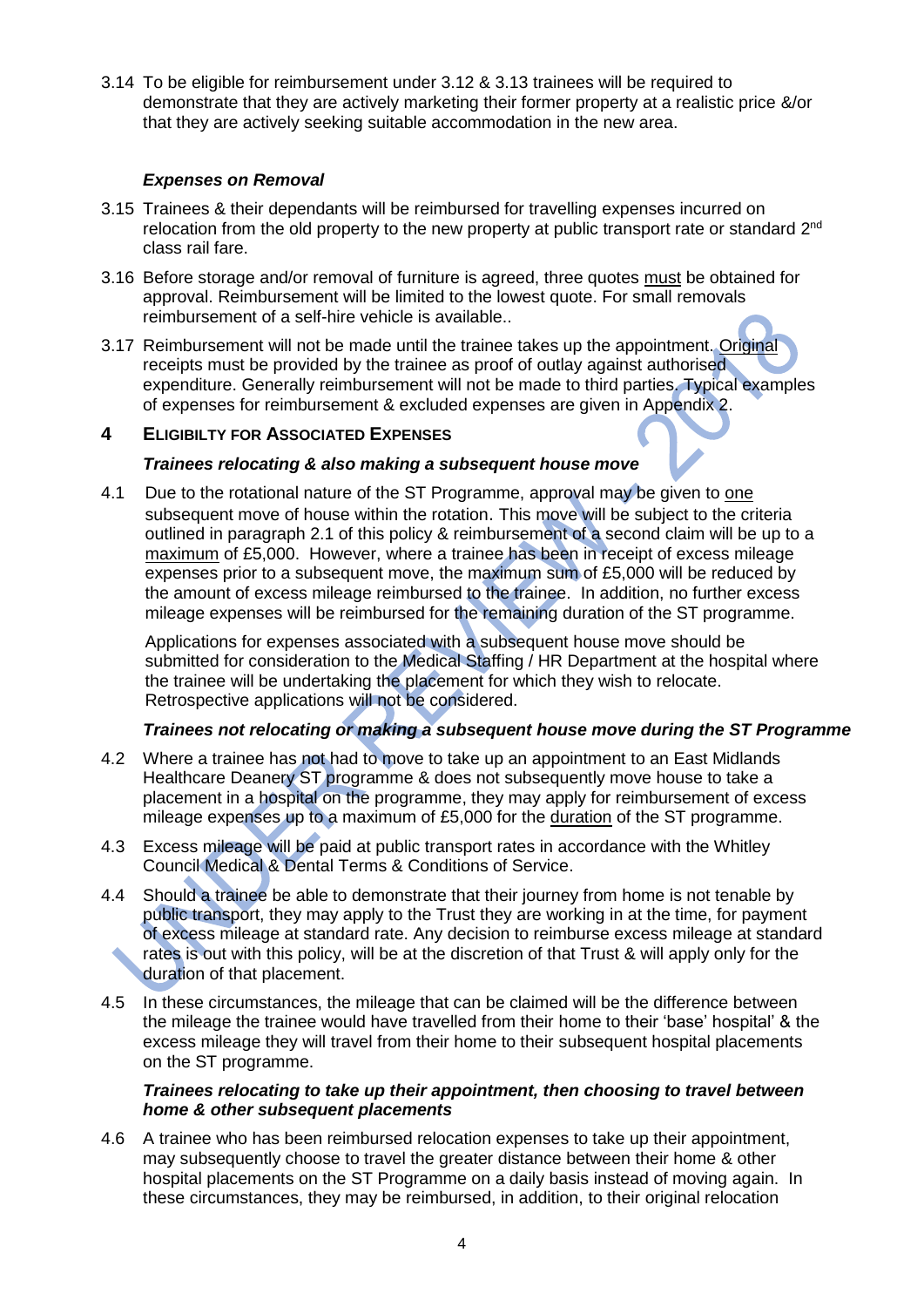3.14 To be eligible for reimbursement under 3.12 & 3.13 trainees will be required to demonstrate that they are actively marketing their former property at a realistic price &/or that they are actively seeking suitable accommodation in the new area.

#### *Expenses on Removal*

- 3.15 Trainees & their dependants will be reimbursed for travelling expenses incurred on relocation from the old property to the new property at public transport rate or standard  $2^{nd}$ class rail fare.
- 3.16 Before storage and/or removal of furniture is agreed, three quotes must be obtained for approval. Reimbursement will be limited to the lowest quote. For small removals reimbursement of a self-hire vehicle is available..
- 3.17 Reimbursement will not be made until the trainee takes up the appointment. Original receipts must be provided by the trainee as proof of outlay against authorised expenditure. Generally reimbursement will not be made to third parties. Typical examples of expenses for reimbursement & excluded expenses are given in Appendix 2.

#### **4 ELIGIBILTY FOR ASSOCIATED EXPENSES**

#### *Trainees relocating & also making a subsequent house move*

4.1 Due to the rotational nature of the ST Programme, approval may be given to one subsequent move of house within the rotation. This move will be subject to the criteria outlined in paragraph 2.1 of this policy & reimbursement of a second claim will be up to a maximum of £5,000. However, where a trainee has been in receipt of excess mileage expenses prior to a subsequent move, the maximum sum of £5,000 will be reduced by the amount of excess mileage reimbursed to the trainee. In addition, no further excess mileage expenses will be reimbursed for the remaining duration of the ST programme.

Applications for expenses associated with a subsequent house move should be submitted for consideration to the Medical Staffing / HR Department at the hospital where the trainee will be undertaking the placement for which they wish to relocate. Retrospective applications will not be considered.

#### *Trainees not relocating or making a subsequent house move during the ST Programme*

- 4.2 Where a trainee has not had to move to take up an appointment to an East Midlands Healthcare Deanery ST programme & does not subsequently move house to take a placement in a hospital on the programme, they may apply for reimbursement of excess mileage expenses up to a maximum of £5,000 for the duration of the ST programme.
- 4.3 Excess mileage will be paid at public transport rates in accordance with the Whitley Council Medical & Dental Terms & Conditions of Service.
- 4.4 Should a trainee be able to demonstrate that their journey from home is not tenable by public transport, they may apply to the Trust they are working in at the time, for payment of excess mileage at standard rate. Any decision to reimburse excess mileage at standard rates is out with this policy, will be at the discretion of that Trust & will apply only for the duration of that placement.
- 4.5 In these circumstances, the mileage that can be claimed will be the difference between the mileage the trainee would have travelled from their home to their 'base' hospital' & the excess mileage they will travel from their home to their subsequent hospital placements on the ST programme.

#### *Trainees relocating to take up their appointment, then choosing to travel between home & other subsequent placements*

4.6 A trainee who has been reimbursed relocation expenses to take up their appointment, may subsequently choose to travel the greater distance between their home & other hospital placements on the ST Programme on a daily basis instead of moving again. In these circumstances, they may be reimbursed, in addition, to their original relocation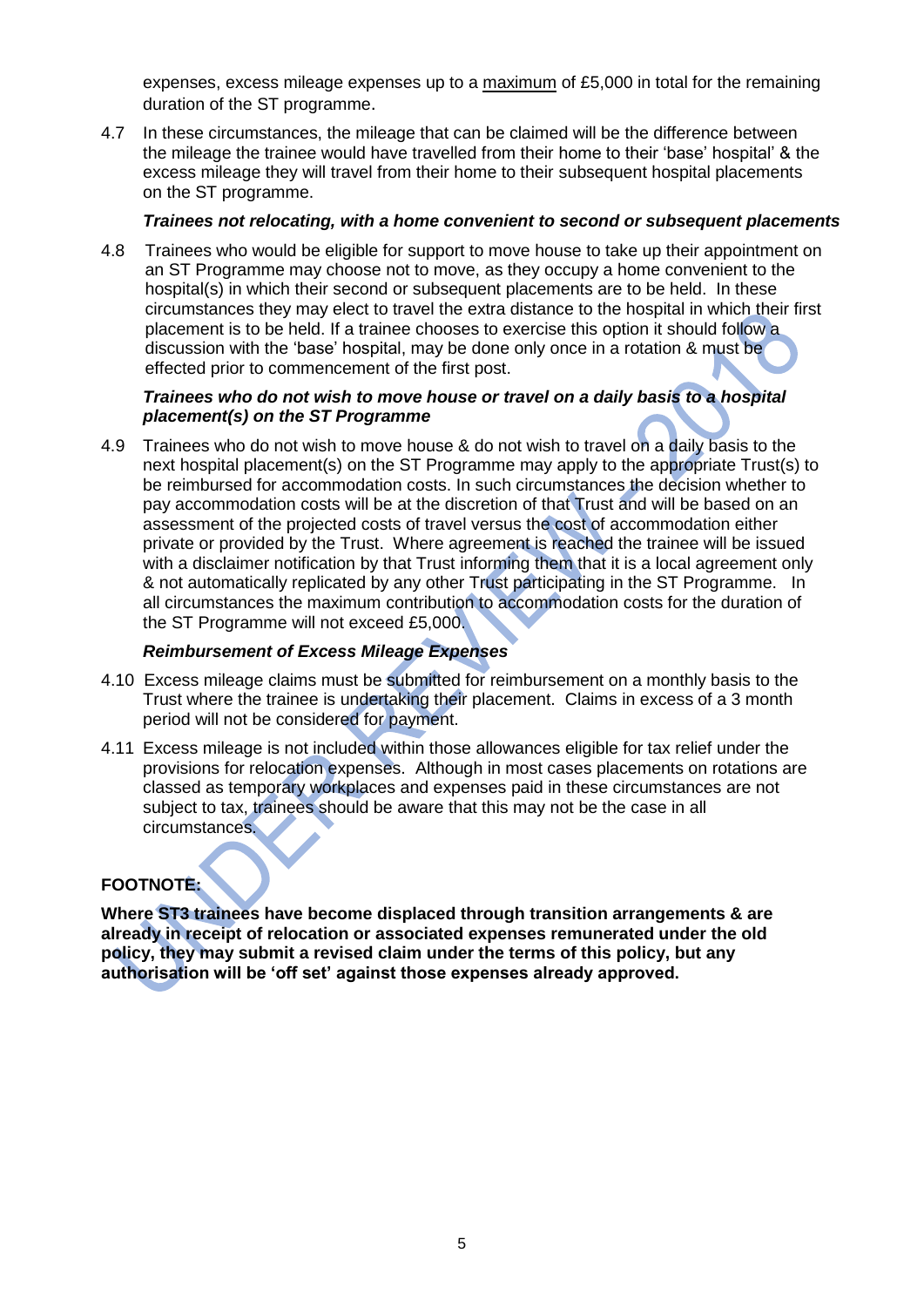expenses, excess mileage expenses up to a maximum of £5,000 in total for the remaining duration of the ST programme.

4.7 In these circumstances, the mileage that can be claimed will be the difference between the mileage the trainee would have travelled from their home to their 'base' hospital' & the excess mileage they will travel from their home to their subsequent hospital placements on the ST programme.

#### *Trainees not relocating, with a home convenient to second or subsequent placements*

4.8 Trainees who would be eligible for support to move house to take up their appointment on an ST Programme may choose not to move, as they occupy a home convenient to the hospital(s) in which their second or subsequent placements are to be held. In these circumstances they may elect to travel the extra distance to the hospital in which their first placement is to be held. If a trainee chooses to exercise this option it should follow a discussion with the 'base' hospital, may be done only once in a rotation & must be effected prior to commencement of the first post.

#### *Trainees who do not wish to move house or travel on a daily basis to a hospital placement(s) on the ST Programme*

4.9 Trainees who do not wish to move house & do not wish to travel on a daily basis to the next hospital placement(s) on the ST Programme may apply to the appropriate Trust(s) to be reimbursed for accommodation costs. In such circumstances the decision whether to pay accommodation costs will be at the discretion of that Trust and will be based on an assessment of the projected costs of travel versus the cost of accommodation either private or provided by the Trust. Where agreement is reached the trainee will be issued with a disclaimer notification by that Trust informing them that it is a local agreement only & not automatically replicated by any other Trust participating in the ST Programme. In all circumstances the maximum contribution to accommodation costs for the duration of the ST Programme will not exceed £5,000.

#### *Reimbursement of Excess Mileage Expenses*

- 4.10 Excess mileage claims must be submitted for reimbursement on a monthly basis to the Trust where the trainee is undertaking their placement. Claims in excess of a 3 month period will not be considered for payment.
- 4.11 Excess mileage is not included within those allowances eligible for tax relief under the provisions for relocation expenses. Although in most cases placements on rotations are classed as temporary workplaces and expenses paid in these circumstances are not subject to tax, trainees should be aware that this may not be the case in all circumstances.

#### **FOOTNOTE:**

**Where ST3 trainees have become displaced through transition arrangements & are already in receipt of relocation or associated expenses remunerated under the old policy, they may submit a revised claim under the terms of this policy, but any authorisation will be 'off set' against those expenses already approved.**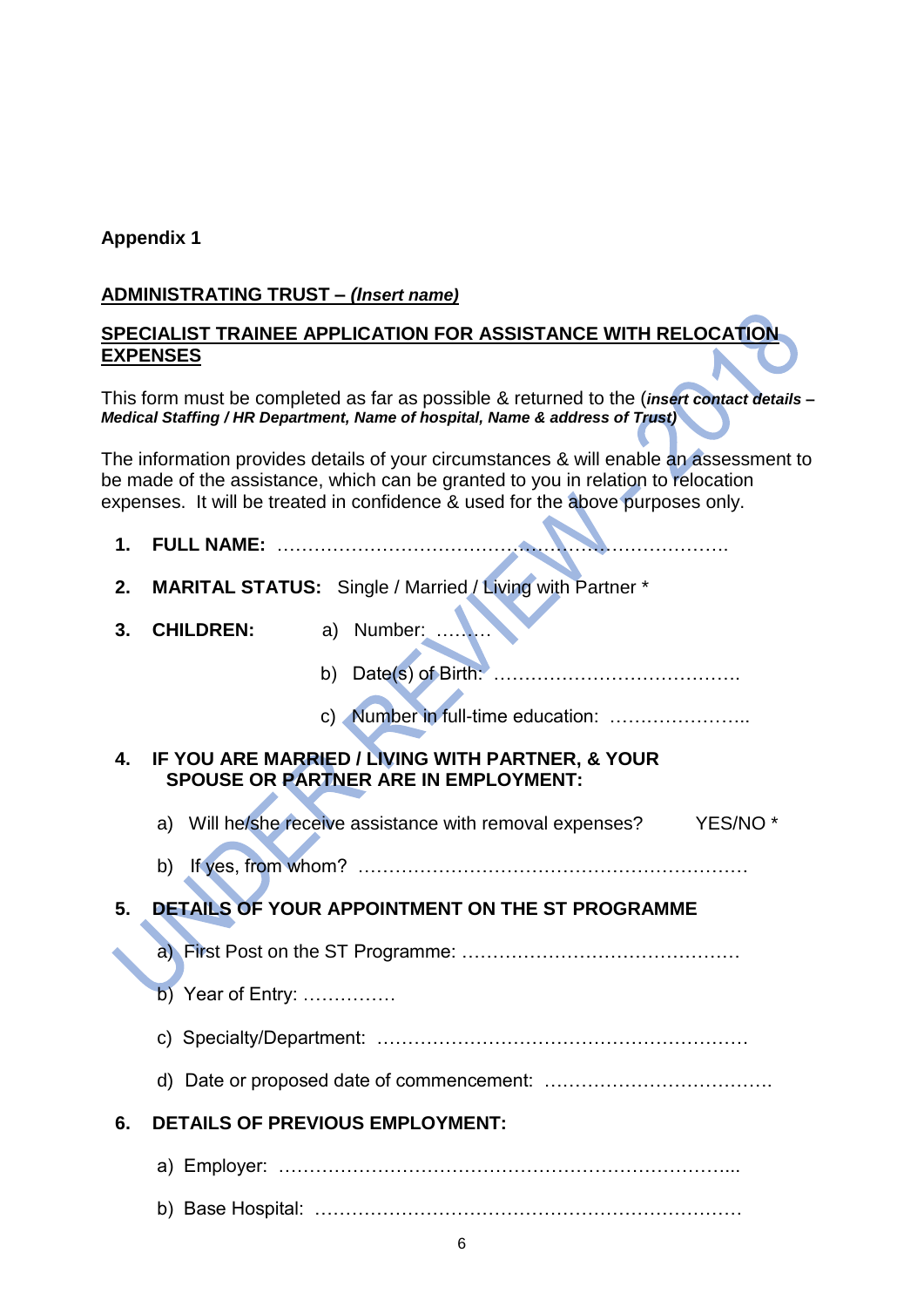### **ADMINISTRATING TRUST –** *(Insert name)*

#### **SPECIALIST TRAINEE APPLICATION FOR ASSISTANCE WITH RELOCATION EXPENSES**

This form must be completed as far as possible & returned to the (*insert contact details – Medical Staffing / HR Department, Name of hospital, Name & address of Trust)* 

The information provides details of your circumstances & will enable an assessment to be made of the assistance, which can be granted to you in relation to relocation expenses. It will be treated in confidence & used for the above purposes only.

- **1. FULL NAME:** ……………………………………………………………….
- **2. MARITAL STATUS:** Single / Married / Living with Partner \*
- **3. CHILDREN:** a) Number: ………

b) Date(s) of Birth: ………………………………….

c) Number in full-time education: …………………..

- **4. IF YOU ARE MARRIED / LIVING WITH PARTNER, & YOUR SPOUSE OR PARTNER ARE IN EMPLOYMENT:**
	- a) Will he/she receive assistance with removal expenses? YES/NO \*
	- b) If yes, from whom? ………………………………………………………

# **5. DETAILS OF YOUR APPOINTMENT ON THE ST PROGRAMME**

a) First Post on the ST Programme: ………………………………………

### b) Year of Entry: ……………

c) Specialty/Department: ……………………………………………………

d) Date or proposed date of commencement: ……………………………….

### **6. DETAILS OF PREVIOUS EMPLOYMENT:**

a) Employer: ………………………………………………………………...

b) Base Hospital: ……………………………………………………………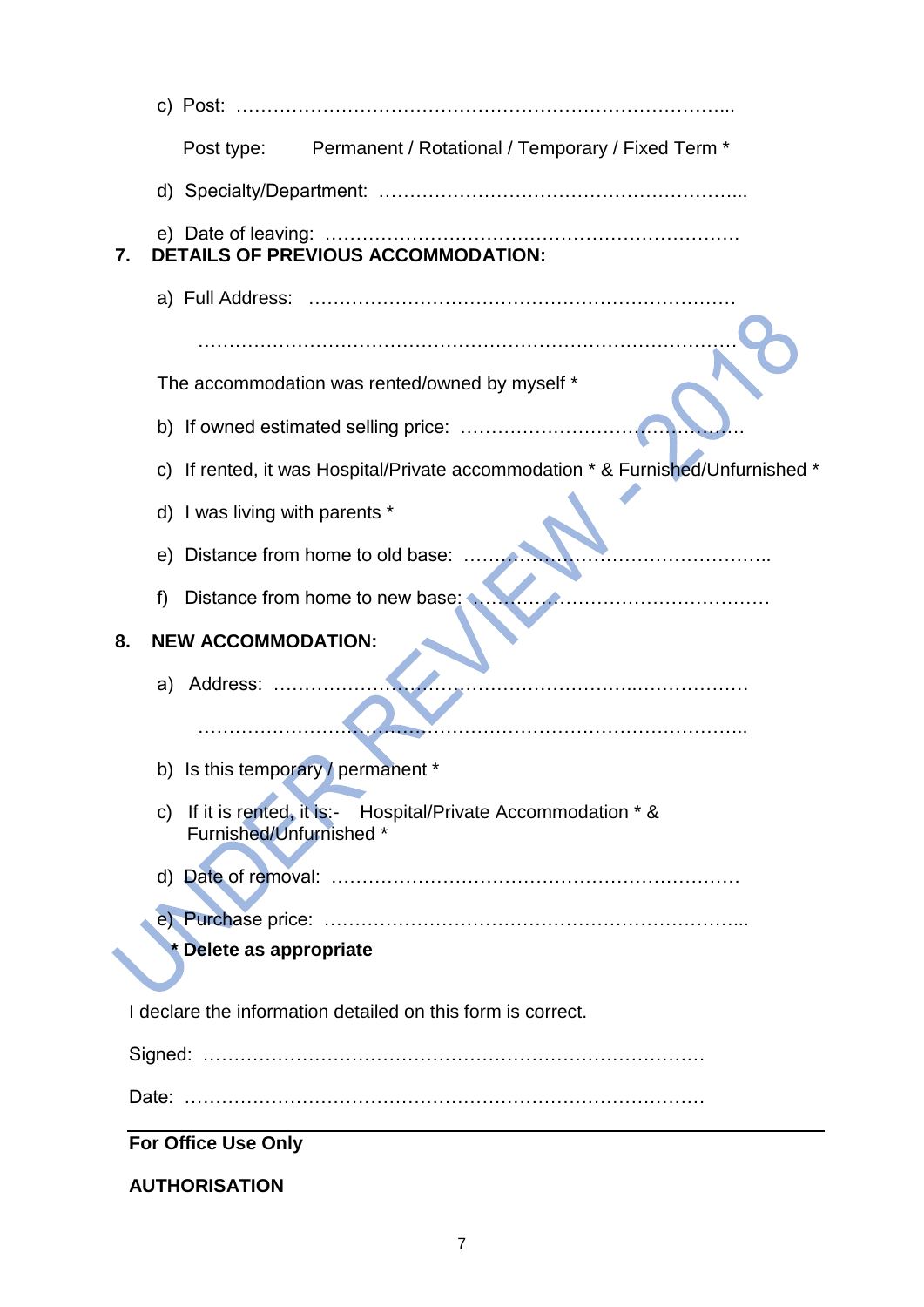| Post type: Permanent / Rotational / Temporary / Fixed Term *                                           |
|--------------------------------------------------------------------------------------------------------|
|                                                                                                        |
| <b>DETAILS OF PREVIOUS ACCOMMODATION:</b><br>7.                                                        |
|                                                                                                        |
|                                                                                                        |
| The accommodation was rented/owned by myself *                                                         |
| b) If owned estimated selling price:                                                                   |
| c) If rented, it was Hospital/Private accommodation * & Furnished/Unfurnished *                        |
| d) I was living with parents *                                                                         |
| Distance from home to old base:<br>e)                                                                  |
| Distance from home to new base;<br>f                                                                   |
| <b>NEW ACCOMMODATION:</b><br>8.                                                                        |
| a) Address:                                                                                            |
|                                                                                                        |
| b) Is this temporary / permanent *                                                                     |
| If it is rented, it is:- Hospital/Private Accommodation * &<br>$\mathsf{C}$<br>Furnished/Unfurnished * |
|                                                                                                        |
|                                                                                                        |
| * Delete as appropriate                                                                                |
| I declare the information detailed on this form is correct.                                            |
|                                                                                                        |
|                                                                                                        |
| <b>For Office Use Only</b>                                                                             |
| <b>AUTHORISATION</b>                                                                                   |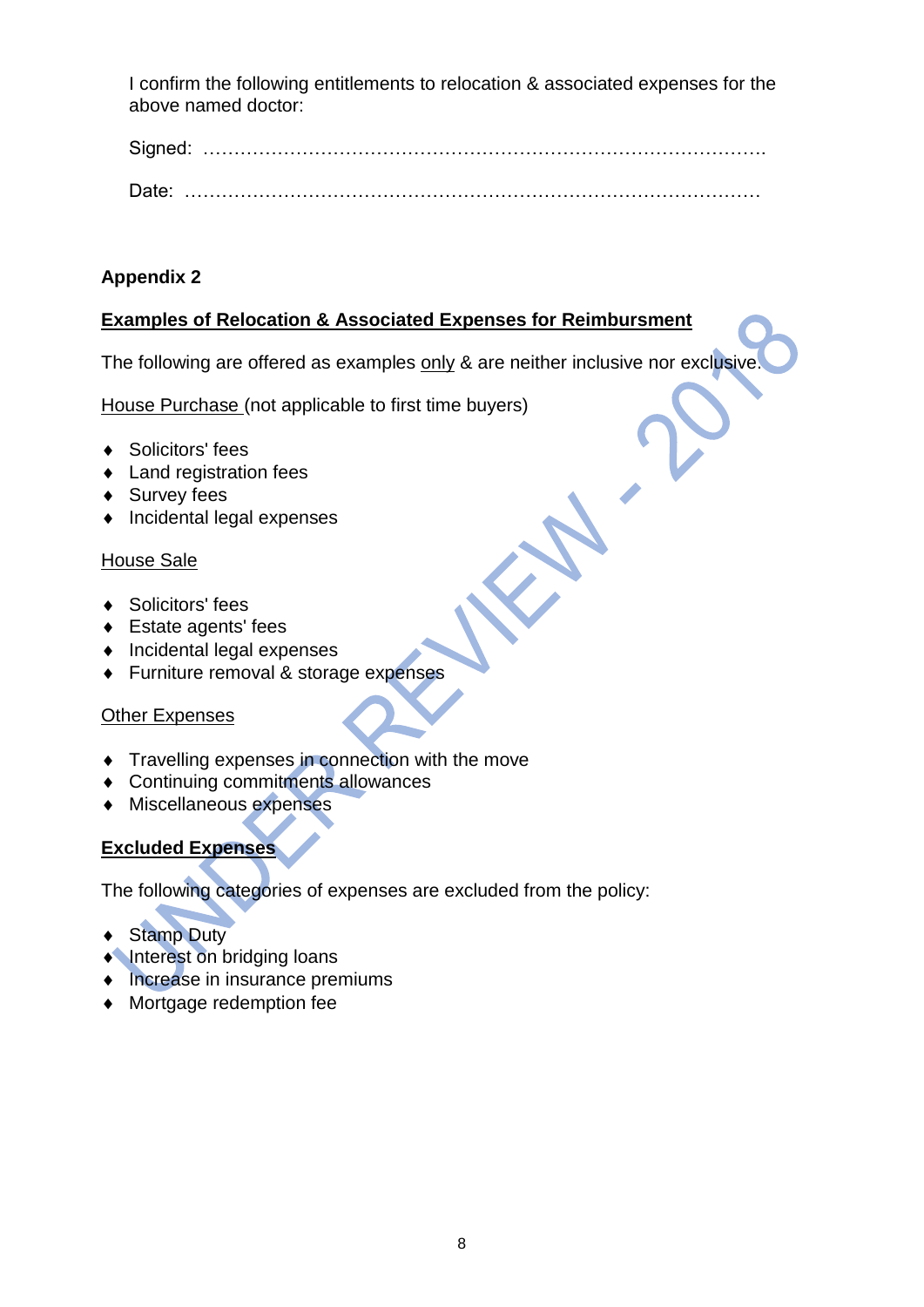I confirm the following entitlements to relocation & associated expenses for the above named doctor:

Signed: ……………………………………………………………………………….

Date: …………………………………………………………………………………

## **Appendix 2**

## **Examples of Relocation & Associated Expenses for Reimbursment**

The following are offered as examples only & are neither inclusive nor exclusive.

House Purchase (not applicable to first time buyers)

- ◆ Solicitors' fees
- ◆ Land registration fees
- ◆ Survey fees
- Incidental legal expenses

#### House Sale

- ◆ Solicitors' fees
- Estate agents' fees
- Incidental legal expenses
- ◆ Furniture removal & storage expenses

### **Other Expenses**

- Travelling expenses in connection with the move
- Continuing commitments allowances
- Miscellaneous expenses

## **Excluded Expenses**

The following categories of expenses are excluded from the policy:

- ◆ Stamp Duty
- **Interest on bridging loans**
- Increase in insurance premiums
- Mortgage redemption fee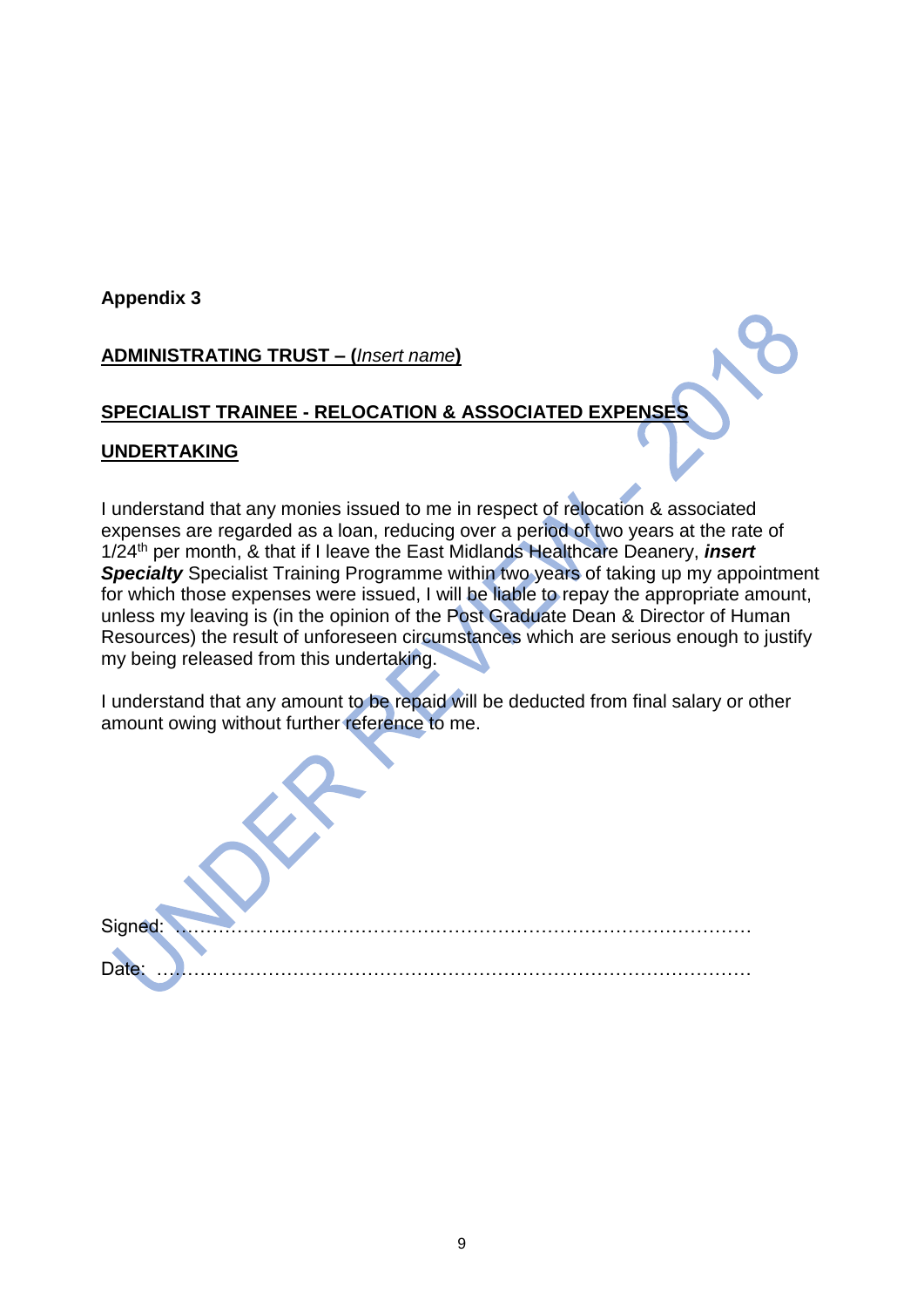## **ADMINISTRATING TRUST – (***Insert name***)**

### **SPECIALIST TRAINEE - RELOCATION & ASSOCIATED EXPENSES**

#### **UNDERTAKING**

I understand that any monies issued to me in respect of relocation & associated expenses are regarded as a loan, reducing over a period of two years at the rate of 1/24th per month, & that if I leave the East Midlands Healthcare Deanery, *insert* **Specialty** Specialist Training Programme within two years of taking up my appointment for which those expenses were issued, I will be liable to repay the appropriate amount, unless my leaving is (in the opinion of the Post Graduate Dean & Director of Human Resources) the result of unforeseen circumstances which are serious enough to justify my being released from this undertaking.

I understand that any amount to be repaid will be deducted from final salary or other amount owing without further reference to me.

| Signed:<br>. <del>.</del><br><b>The Contract of the Contract of the Contract of the Contract of the Contract of the Contract of the Contract of the Contract of the Contract of the Contract of the Contract of the Contract of the Contract of the Contract </b> |  |  |
|-------------------------------------------------------------------------------------------------------------------------------------------------------------------------------------------------------------------------------------------------------------------|--|--|
| Date:                                                                                                                                                                                                                                                             |  |  |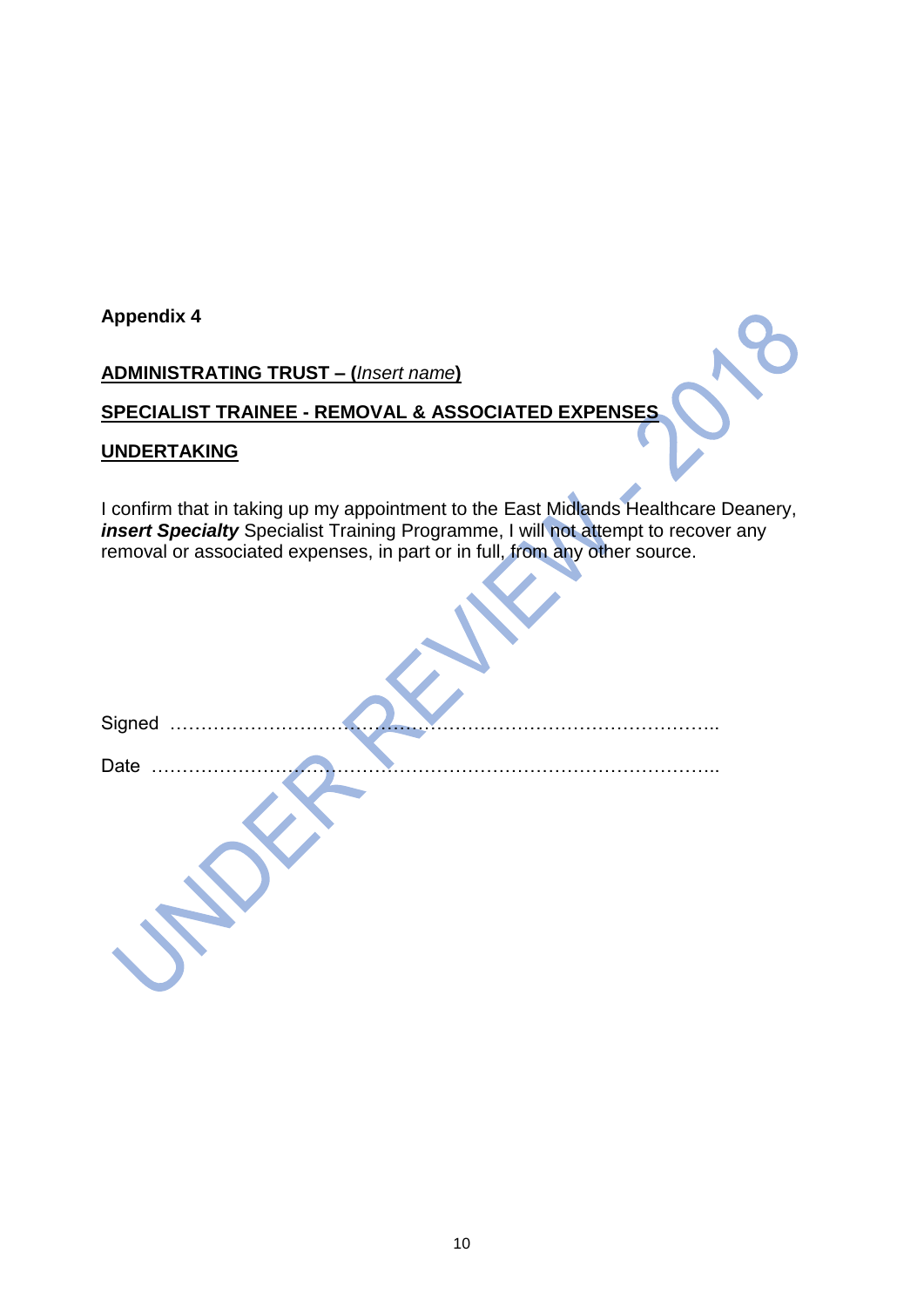## **ADMINISTRATING TRUST – (***Insert name***)**

# **SPECIALIST TRAINEE - REMOVAL & ASSOCIATED EXPENSES**

#### **UNDERTAKING**

I confirm that in taking up my appointment to the East Midlands Healthcare Deanery, *insert Specialty* Specialist Training Programme, I will not attempt to recover any removal or associated expenses, in part or in full, from any other source.

| Signed |  |
|--------|--|
|        |  |
| Date   |  |
|        |  |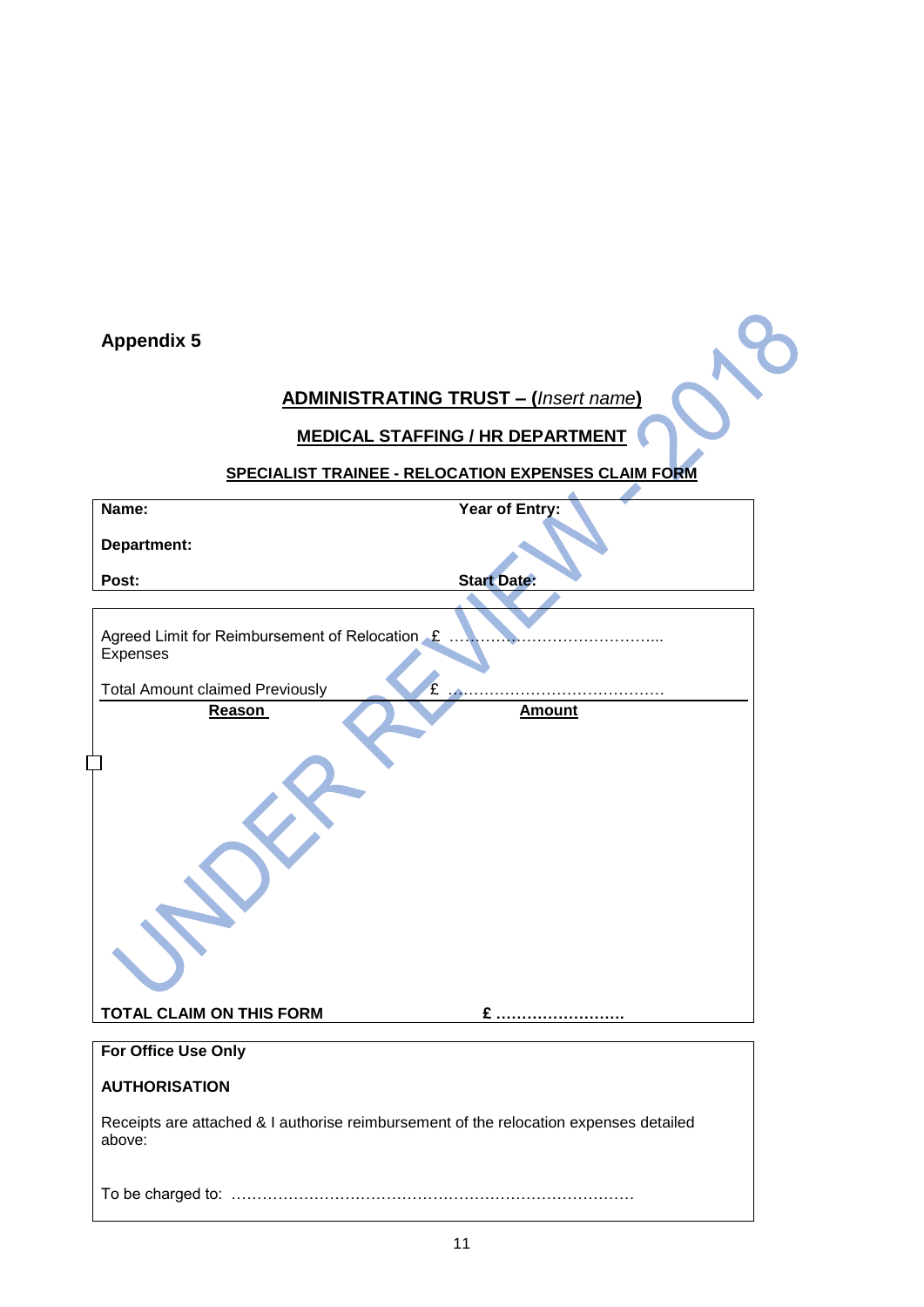# **ADMINISTRATING TRUST – (***Insert name***)**

## **MEDICAL STAFFING / HR DEPARTMENT**

# **SPECIALIST TRAINEE - RELOCATION EXPENSES CLAIM FORM**

| Name:                                                                                           | Year of Entry:     |
|-------------------------------------------------------------------------------------------------|--------------------|
| Department:                                                                                     |                    |
| Post:                                                                                           | <b>Start Date:</b> |
|                                                                                                 |                    |
| Agreed Limit for Reimbursement of Relocation £<br>Expenses                                      |                    |
| £<br><b>Total Amount claimed Previously</b>                                                     | .                  |
| Reason                                                                                          | <b>Amount</b>      |
| <b>TOTAL CLAIM ON THIS FORM</b>                                                                 | $E$                |
| For Office Use Only                                                                             |                    |
| <b>AUTHORISATION</b>                                                                            |                    |
| Receipts are attached & I authorise reimbursement of the relocation expenses detailed<br>above: |                    |
|                                                                                                 |                    |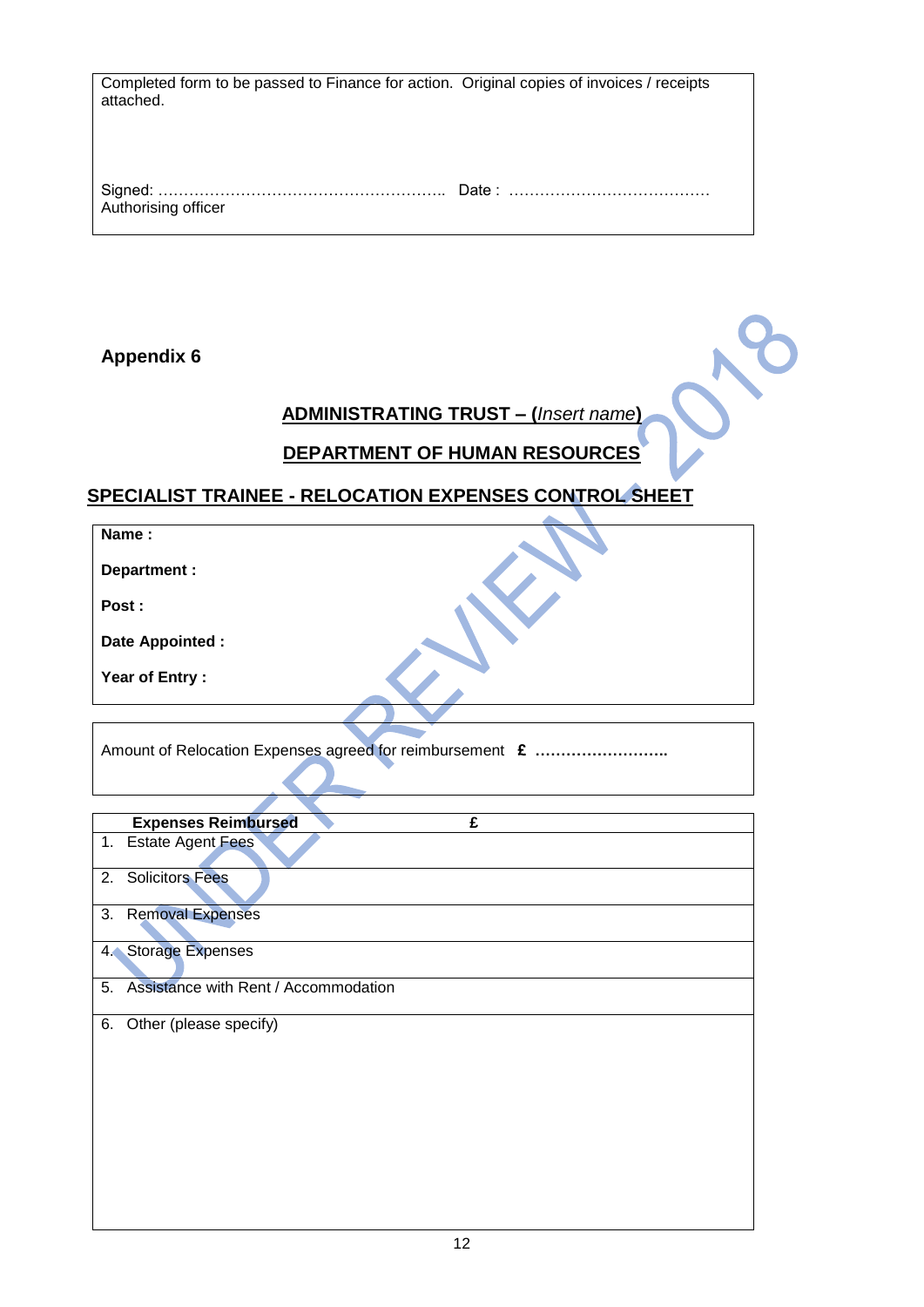| Completed form to be passed to Finance for action. Original copies of invoices / receipts<br>attached. |  |
|--------------------------------------------------------------------------------------------------------|--|
| Authorising officer                                                                                    |  |

# **ADMINISTRATING TRUST – (***Insert name***)**

# **DEPARTMENT OF HUMAN RESOURCES**

# **SPECIALIST TRAINEE - RELOCATION EXPENSES CONTROL SHEET**

| Name:            |  |
|------------------|--|
| Department :     |  |
| Post:            |  |
| Date Appointed : |  |
| Year of Entry:   |  |

Amount of Relocation Expenses agreed for reimbursement **£ ……………………..**

|    | <b>Expenses Reimbursed</b><br>£         |
|----|-----------------------------------------|
|    | 1. Estate Agent Fees                    |
|    | 2. Solicitors Fees                      |
|    | 3. Removal Expenses                     |
|    | 4. Storage Expenses                     |
|    | 5. Assistance with Rent / Accommodation |
| 6. | Other (please specify)                  |
|    |                                         |
|    |                                         |
|    |                                         |
|    |                                         |
|    |                                         |